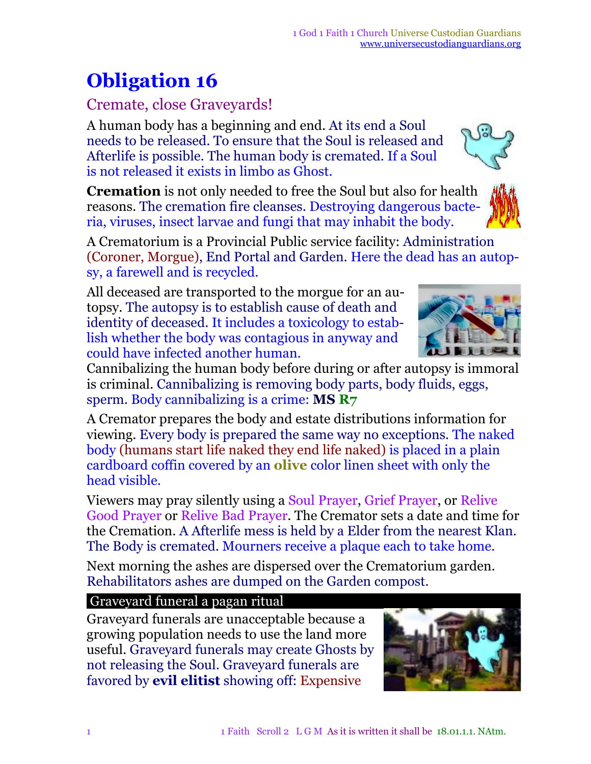## **Obligation 16**

## Cremate, close Graveyards!

A human body has a beginning and end. At its end a Soul needs to be released. To ensure that the Soul is released and Afterlife is possible. The human body is cremated. If a Soul is not released it exists in limbo as Ghost.

**Cremation** is not only needed to free the Soul but also for health reasons. The cremation fire cleanses. Destroying dangerous bacteria, viruses, insect larvae and fungi that may inhabit the body.

A Crematorium is a Provincial Public service facility: Administration (Coroner, Morgue), End Portal and Garden. Here the dead has an autopsy, a farewell and is recycled.

All deceased are transported to the morgue for an autopsy. The autopsy is to establish cause of death and identity of deceased. It includes a toxicology to establish whether the body was contagious in anyway and could have infected another human.

Cannibalizing the human body before during or after autopsy is immoral is criminal. Cannibalizing is removing body parts, body fluids, eggs, sperm. Body cannibalizing is a crime: **MS R7**

A Cremator prepares the body and estate distributions information for viewing. Every body is prepared the same way no exceptions. The naked body (humans start life naked they end life naked) is placed in a plain cardboard coffin covered by an **olive** color linen sheet with only the head visible.

Viewers may pray silently using a Soul Prayer, Grief Prayer, or Relive Good Prayer or Relive Bad Prayer. The Cremator sets a date and time for the Cremation. A Afterlife mess is held by a Elder from the nearest Klan. The Body is cremated. Mourners receive a plaque each to take home.

Next morning the ashes are dispersed over the Crematorium garden. Rehabilitators ashes are dumped on the Garden compost.

## Graveyard funeral a pagan ritual

Graveyard funerals are unacceptable because a growing population needs to use the land more useful. Graveyard funerals may create Ghosts by not releasing the Soul. Graveyard funerals are favored by **evil elitist** showing off: Expensive